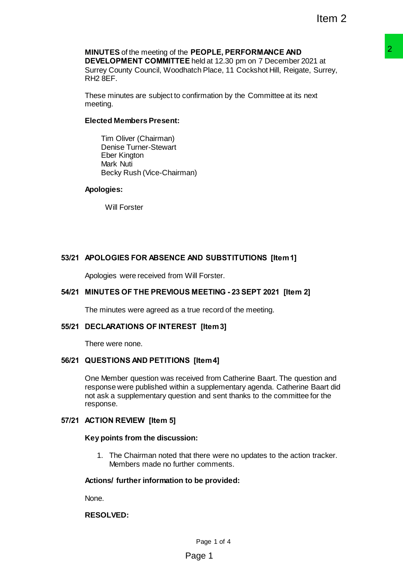# **MINUTES** of the meeting of the **PEOPLE, PERFORMANCE AND**

**DEVELOPMENT COMMITTEE** held at 12.30 pm on 7 December 2021 at Surrey County Council, Woodhatch Place, 11 Cockshot Hill, Reigate, Surrey, RH2 8EF.

These minutes are subject to confirmation by the Committee at its next meeting.

## **Elected Members Present:**

Tim Oliver (Chairman) Denise Turner-Stewart Eber Kington Mark Nuti Becky Rush (Vice-Chairman)

## **Apologies:**

Will Forster

# **53/21 APOLOGIES FOR ABSENCE AND SUBSTITUTIONS [Item 1]**

Apologies were received from Will Forster.

# **54/21 MINUTES OF THE PREVIOUS MEETING - 23 SEPT 2021 [Item 2]**

The minutes were agreed as a true record of the meeting.

## **55/21 DECLARATIONS OF INTEREST [Item 3]**

There were none.

## **56/21 QUESTIONS AND PETITIONS [Item 4]**

One Member question was received from Catherine Baart. The question and response were published within a supplementary agenda. Catherine Baart did not ask a supplementary question and sent thanks to the committee for the response. **PEOPLE, PERFORMANCE AND<br>E held at 12:30 pm on 7 December 2021 at<br>tach Place, 11 Cockshot Hill, Reigate, Surrey,<br>confirmation by the Committee at its next<br>confirmation by the Committee at its next<br>and December 23:3 SEPT 20** 

## **57/21 ACTION REVIEW [Item 5]**

## **Key points from the discussion:**

1. The Chairman noted that there were no updates to the action tracker. Members made no further comments.

## **Actions/ further information to be provided:**

None.

## **RESOLVED:**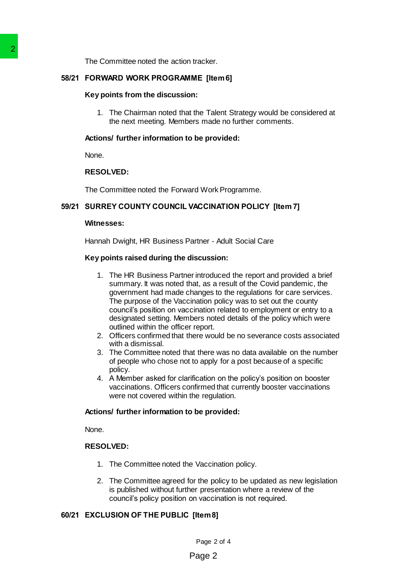The Committee noted the action tracker.

## **58/21 FORWARD WORK PROGRAMME [Item 6]**

#### **Key points from the discussion:**

1. The Chairman noted that the Talent Strategy would be considered at the next meeting. Members made no further comments.

### **Actions/ further information to be provided:**

None.

### **RESOLVED:**

The Committee noted the Forward Work Programme.

## **59/21 SURREY COUNTY COUNCIL VACCINATION POLICY [Item 7]**

#### **Witnesses:**

Hannah Dwight, HR Business Partner - Adult Social Care

### **Key points raised during the discussion:**

- 1. The HR Business Partner introduced the report and provided a brief summary. It was noted that, as a result of the Covid pandemic, the government had made changes to the regulations for care services. The purpose of the Vaccination policy was to set out the county council's position on vaccination related to employment or entry to a designated setting. Members noted details of the policy which were outlined within the officer report. The Committee noted the action tracker.<br>
S8/21 FORWARD WORK PROGRAMME [Its<br>
Key points from the discussion:<br>
1. The Chairman noted that the Tal<br>
the next meeting, Members mad<br>
Actions' further information to be pro<br>
None.<br>
	- 2. Officers confirmed that there would be no severance costs associated with a dismissal.
	- 3. The Committee noted that there was no data available on the number of people who chose not to apply for a post because of a specific policy.
	- 4. A Member asked for clarification on the policy's position on booster vaccinations. Officers confirmed that currently booster vaccinations were not covered within the regulation.

### **Actions/ further information to be provided:**

None.

### **RESOLVED:**

- 1. The Committee noted the Vaccination policy.
- 2. The Committee agreed for the policy to be updated as new legislation is published without further presentation where a review of the council's policy position on vaccination is not required.

## **60/21 EXCLUSION OF THE PUBLIC [Item 8]**

Page 2 of 4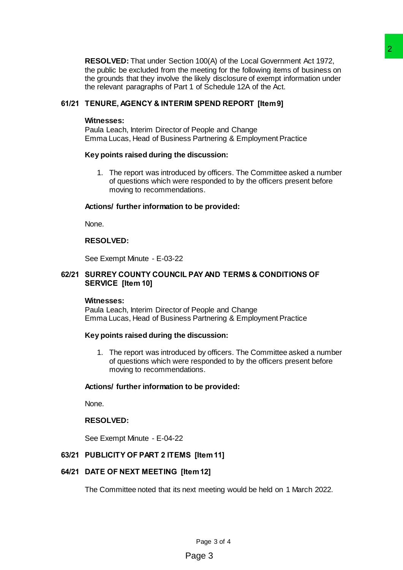**RESOLVED:** That under Section 100(A) of the Local Government Act 1972, the public be excluded from the meeting for the following items of business on the grounds that they involve the likely disclosure of exempt information under the relevant paragraphs of Part 1 of Schedule 12A of the Act. on mooting for the following items of business on<br>
a meeting for the following items of business on<br>
The likely disclosure of exernat information under<br>
The likely disclosure of exernat information under<br>
In the SEND REPOR

## **61/21 TENURE, AGENCY & INTERIM SPEND REPORT [Item 9]**

#### **Witnesses:**

Paula Leach, Interim Director of People and Change Emma Lucas, Head of Business Partnering & Employment Practice

### **Key points raised during the discussion:**

1. The report was introduced by officers. The Committee asked a number of questions which were responded to by the officers present before moving to recommendations.

### **Actions/ further information to be provided:**

None.

## **RESOLVED:**

See Exempt Minute - E-03-22

## **62/21 SURREY COUNTY COUNCIL PAY AND TERMS & CONDITIONS OF SERVICE [Item 10]**

#### **Witnesses:**

Paula Leach, Interim Director of People and Change Emma Lucas, Head of Business Partnering & Employment Practice

#### **Key points raised during the discussion:**

1. The report was introduced by officers. The Committee asked a number of questions which were responded to by the officers present before moving to recommendations.

#### **Actions/ further information to be provided:**

None.

### **RESOLVED:**

See Exempt Minute - E-04-22

## **63/21 PUBLICITY OF PART 2 ITEMS [Item 11]**

#### **64/21 DATE OF NEXT MEETING [Item 12]**

The Committee noted that its next meeting would be held on 1 March 2022.